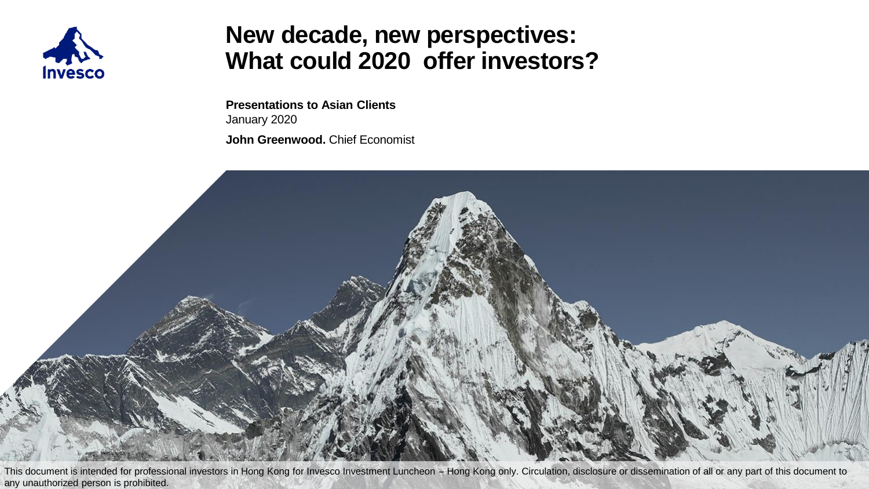

### **New decade, new perspectives: What could 2020 offer investors?**

**Presentations to Asian Clients** January 2020 **John Greenwood.** Chief Economist

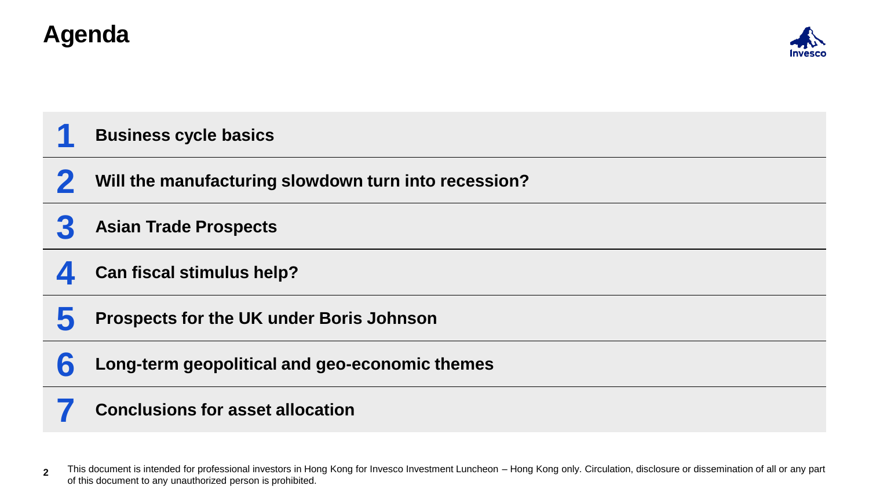# **Agenda**



**Business cycle basics**

**Will the manufacturing slowdown turn into recession?**

**Asian Trade Prospects**

**Can fiscal stimulus help?**

**Prospects for the UK under Boris Johnson**

Long-term geopolitical and geo-economic themes

#### **Conclusions for asset allocation**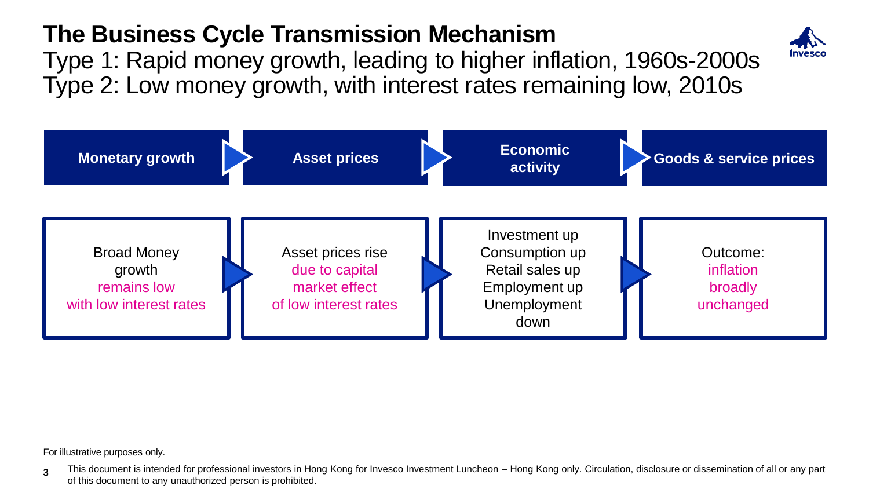# **The Business Cycle Transmission Mechanism**

Type 2: Low money growth, with interest rates remaining low, 2010s Type 1: Rapid money growth, leading to higher inflation, 1960s-2000s



For illustrative purposes only.

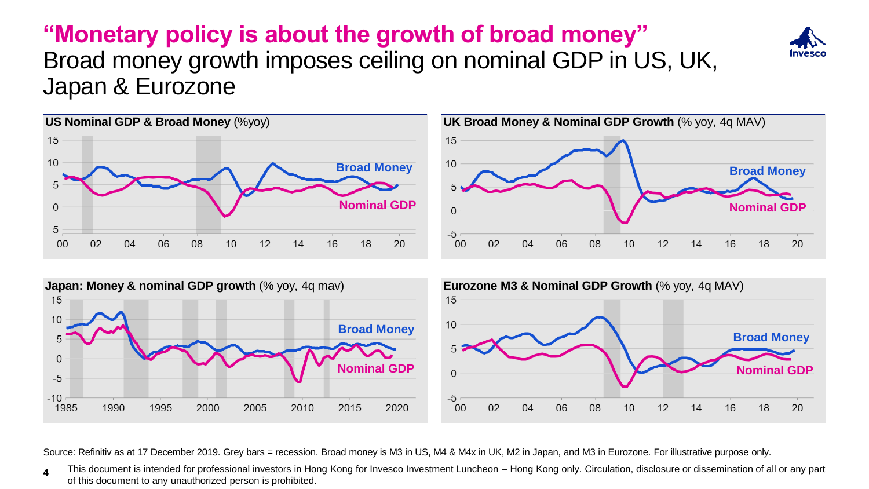#### **"Monetary policy is about the growth of broad money"**  Broad money growth imposes ceiling on nominal GDP in US, UK, Japan & Eurozone









Source: Refinitiv as at 17 December 2019. Grey bars = recession. Broad money is M3 in US, M4 & M4x in UK, M2 in Japan, and M3 in Eurozone. For illustrative purpose only.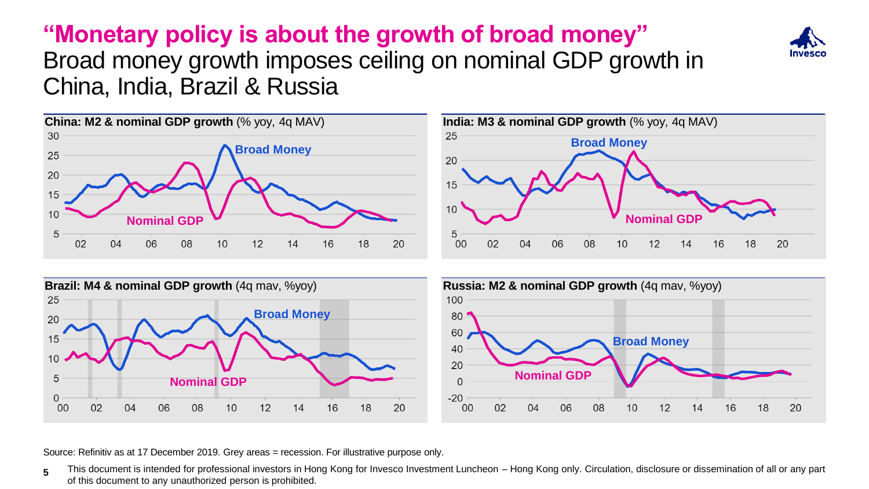# **"Monetary policy is about the growth of broad money"**



## Broad money growth imposes ceiling on nominal GDP growth in China, India, Brazil & Russia









Source: Refinitiv as at 17 December 2019. Grey areas = recession. For illustrative purpose only.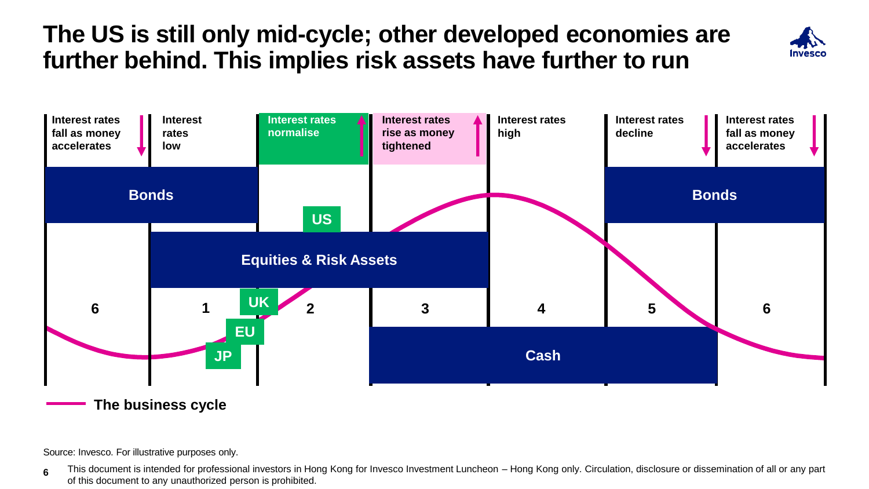# **The US is still only mid-cycle; other developed economies are further behind. This implies risk assets have further to run**





**The business cycle**

Source: Invesco. For illustrative purposes only.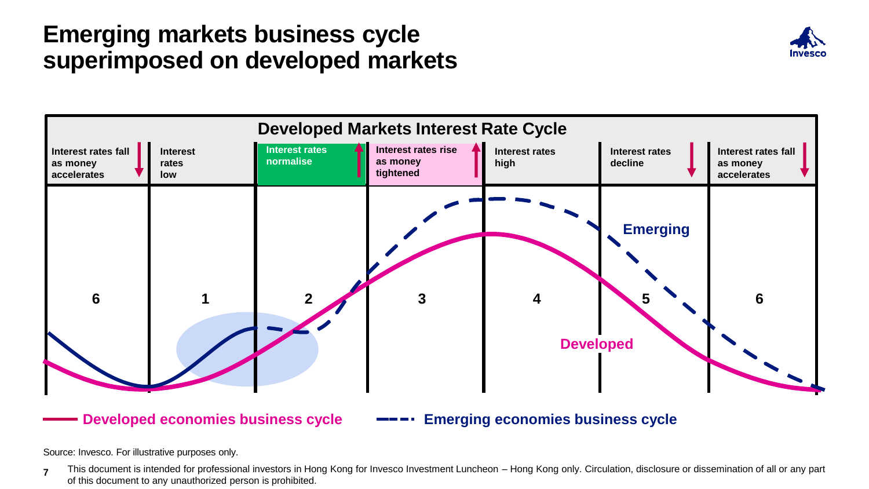### **Emerging markets business cycle superimposed on developed markets**





**Developed economies business cycle**

#### **Emerging economies business cycle**

Source: Invesco. For illustrative purposes only.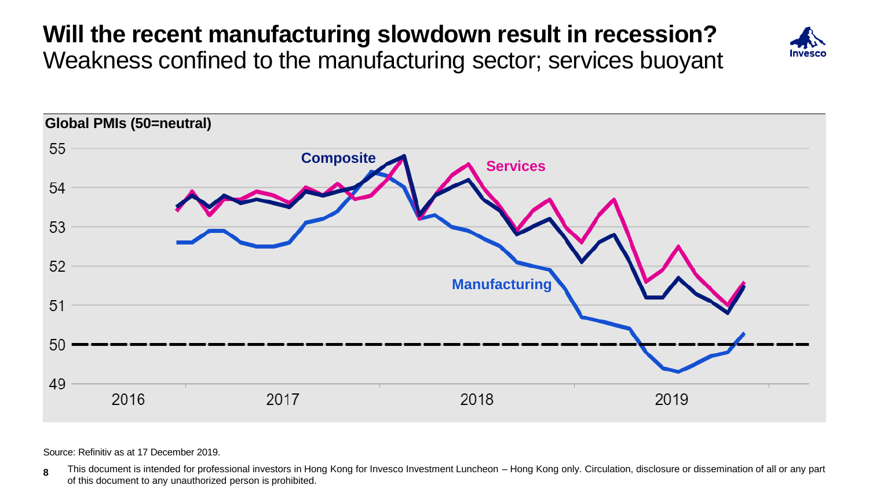# **Will the recent manufacturing slowdown result in recession?**  Weakness confined to the manufacturing sector; services buoyant





Source: Refinitiv as at 17 December 2019.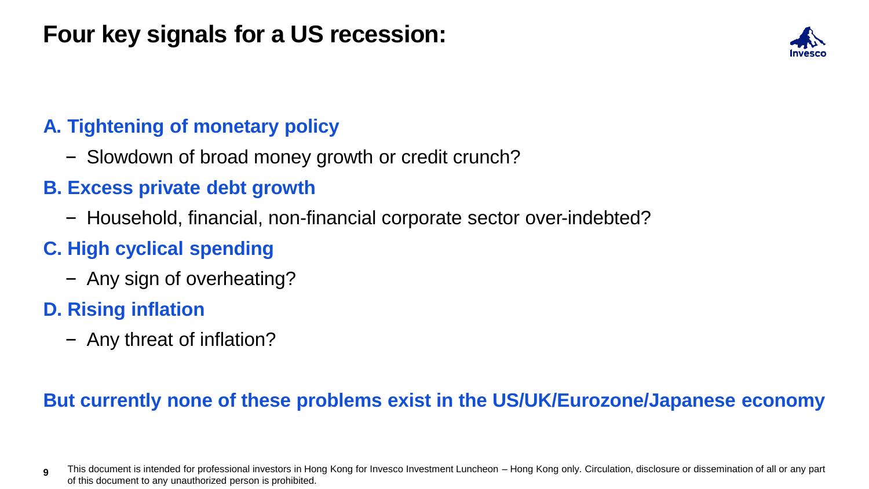# **Four key signals for a US recession:**

#### **A. Tightening of monetary policy**

- Slowdown of broad money growth or credit crunch?
- **B. Excess private debt growth**
	- Household, financial, non-financial corporate sector over-indebted?

#### **C. High cyclical spending**

– Any sign of overheating?

#### **D. Rising inflation**

– Any threat of inflation?

#### **But currently none of these problems exist in the US/UK/Eurozone/Japanese economy**

**<sup>9</sup>** This document is intended for professional investors in Hong Kong for Invesco Investment Luncheon – Hong Kong only. Circulation, disclosure or dissemination of all or any part of this document to any unauthorized person is prohibited.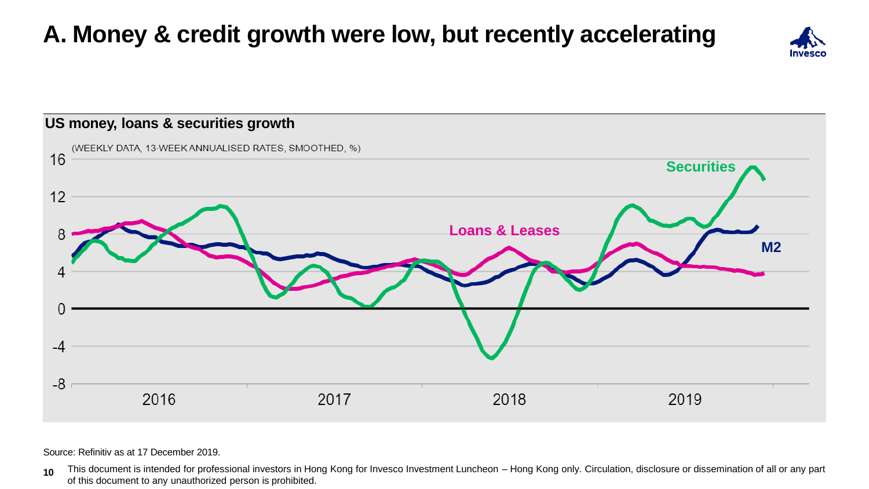# **A. Money & credit growth were low, but recently accelerating**





Source: Refinitiv as at 17 December 2019.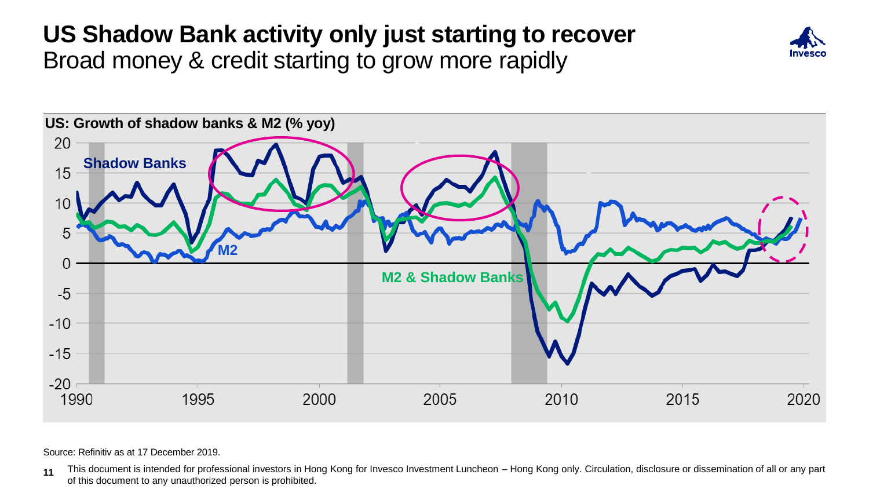## **US Shadow Bank activity only just starting to recover** Broad money & credit starting to grow more rapidly





Source: Refinitiv as at 17 December 2019.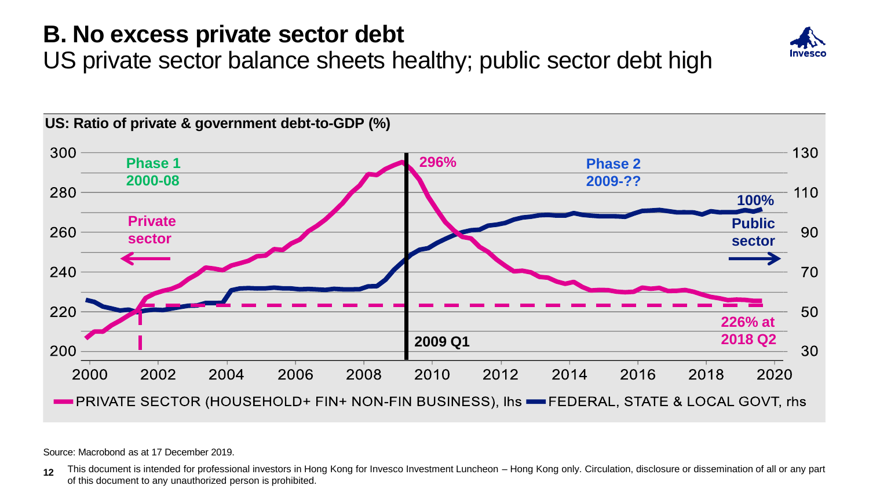# **B. No excess private sector debt**



US private sector balance sheets healthy; public sector debt high



Source: Macrobond as at 17 December 2019.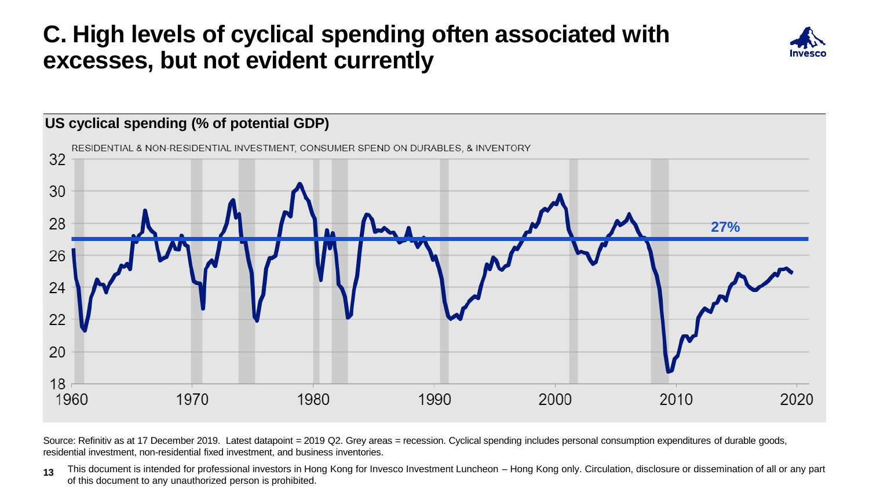# **C. High levels of cyclical spending often associated with excesses, but not evident currently**





Source: Refinitiv as at 17 December 2019. Latest datapoint = 2019 Q2. Grey areas = recession. Cyclical spending includes personal consumption expenditures of durable goods, residential investment, non-residential fixed investment, and business inventories.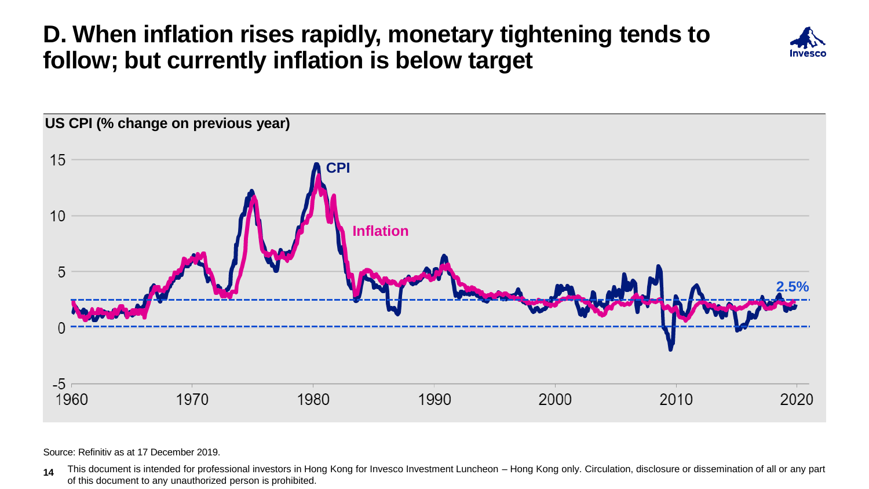# **D. When inflation rises rapidly, monetary tightening tends to follow; but currently inflation is below target**





Source: Refinitiv as at 17 December 2019.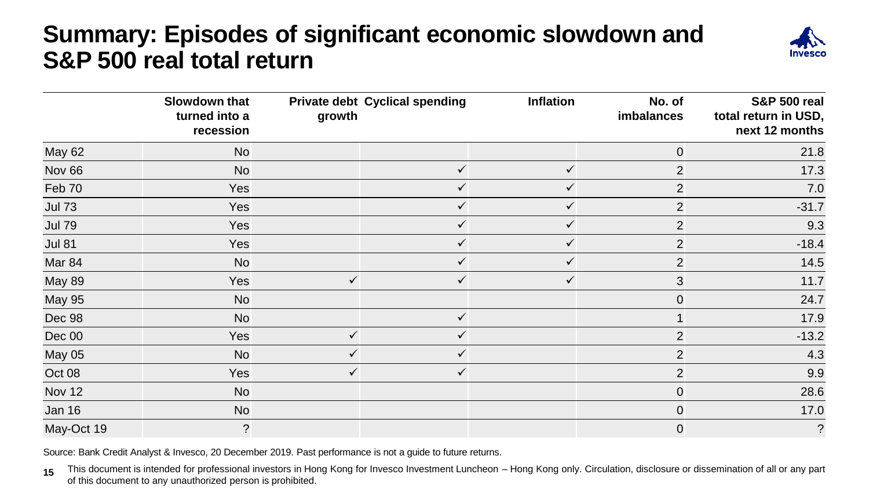# **Summary: Episodes of significant economic slowdown and S&P 500 real total return**



|                   | Slowdown that<br>turned into a<br>recession | growth       | <b>Private debt Cyclical spending</b> | Inflation    | No. of<br>imbalances | <b>S&amp;P 500 real</b><br>total return in USD,<br>next 12 months |
|-------------------|---------------------------------------------|--------------|---------------------------------------|--------------|----------------------|-------------------------------------------------------------------|
| <b>May 62</b>     | <b>No</b>                                   |              |                                       |              | $\mathbf 0$          | 21.8                                                              |
| Nov <sub>66</sub> | <b>No</b>                                   |              | $\checkmark$                          | $\checkmark$ | $\overline{2}$       | 17.3                                                              |
| Feb 70            | Yes                                         |              | $\checkmark$                          | $\checkmark$ | $\overline{2}$       | 7.0                                                               |
| <b>Jul 73</b>     | Yes                                         |              | $\checkmark$                          | $\checkmark$ | $\overline{2}$       | $-31.7$                                                           |
| <b>Jul 79</b>     | Yes                                         |              | $\checkmark$                          | $\checkmark$ | $\overline{2}$       | 9.3                                                               |
| <b>Jul 81</b>     | Yes                                         |              | $\checkmark$                          | ✓            | $\overline{2}$       | $-18.4$                                                           |
| Mar 84            | <b>No</b>                                   |              | ✓                                     | $\checkmark$ | $\overline{2}$       | 14.5                                                              |
| <b>May 89</b>     | Yes                                         | $\checkmark$ | $\checkmark$                          | $\checkmark$ | 3                    | 11.7                                                              |
| <b>May 95</b>     | <b>No</b>                                   |              |                                       |              | $\mathbf 0$          | 24.7                                                              |
| Dec 98            | <b>No</b>                                   |              | $\checkmark$                          |              |                      | 17.9                                                              |
| Dec 00            | Yes                                         | $\checkmark$ | ✓                                     |              | $\overline{2}$       | $-13.2$                                                           |
| <b>May 05</b>     | <b>No</b>                                   | ✓            | ✓                                     |              | $\overline{2}$       | 4.3                                                               |
| Oct 08            | Yes                                         | $\checkmark$ | $\checkmark$                          |              | $\overline{2}$       | 9.9                                                               |
| <b>Nov 12</b>     | <b>No</b>                                   |              |                                       |              | $\mathbf 0$          | 28.6                                                              |
| Jan 16            | <b>No</b>                                   |              |                                       |              | $\mathbf 0$          | 17.0                                                              |
| May-Oct 19        | $\overline{?}$                              |              |                                       |              | $\mathbf 0$          | $\tilde{?}$                                                       |

Source: Bank Credit Analyst & Invesco, 20 December 2019. Past performance is not a guide to future returns.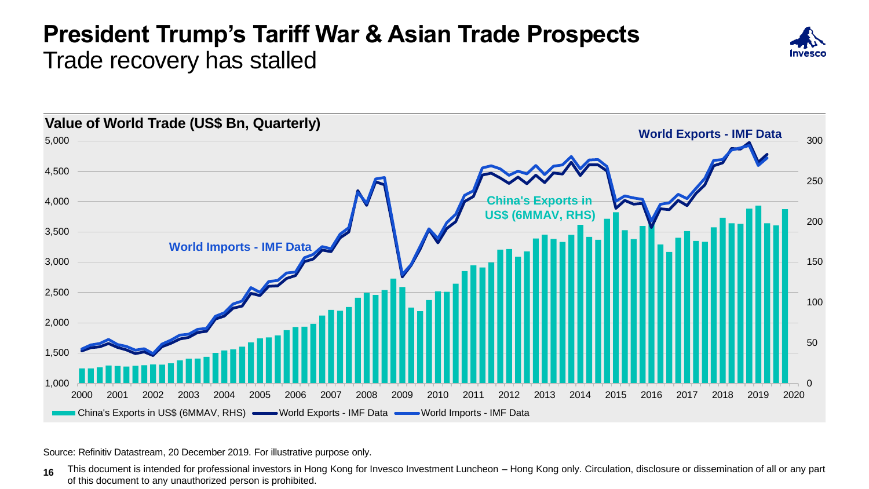## **President Trump's Tariff War & Asian Trade Prospects** Trade recovery has stalled





Source: Refinitiv Datastream, 20 December 2019. For illustrative purpose only.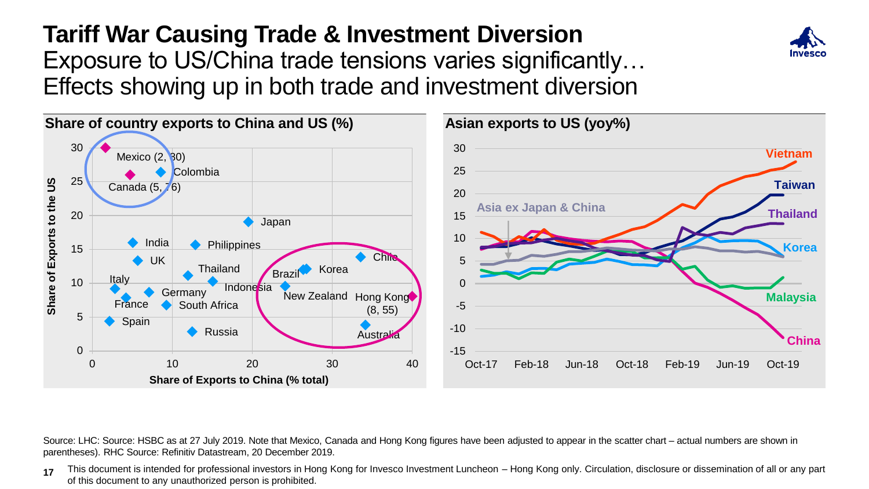# **Tariff War Causing Trade & Investment Diversion** Exposure to US/China trade tensions varies significantly… Effects showing up in both trade and investment diversion



Source: LHC: Source: HSBC as at 27 July 2019. Note that Mexico, Canada and Hong Kong figures have been adjusted to appear in the scatter chart – actual numbers are shown in parentheses). RHC Source: Refinitiv Datastream, 20 December 2019.

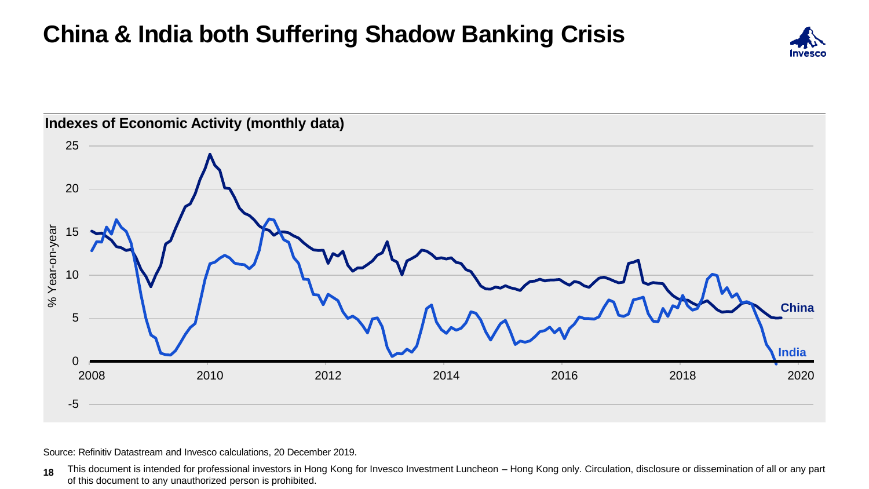# **China & India both Suffering Shadow Banking Crisis**





Source: Refinitiv Datastream and Invesco calculations, 20 December 2019.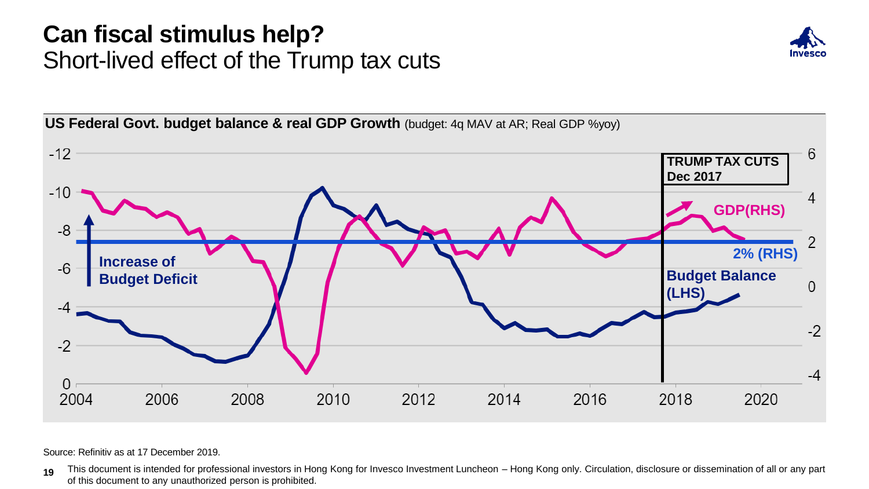## **Can fiscal stimulus help?** Short-lived effect of the Trump tax cuts





Source: Refinitiv as at 17 December 2019.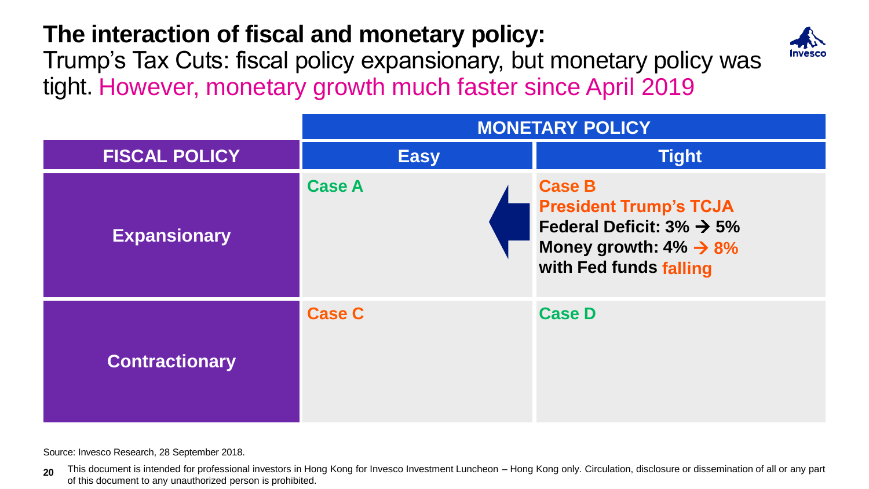# **The interaction of fiscal and monetary policy:**



Trump's Tax Cuts: fiscal policy expansionary, but monetary policy was tight. However, monetary growth much faster since April 2019

|                       | <b>MONETARY POLICY</b> |                                                                                                                                                           |  |
|-----------------------|------------------------|-----------------------------------------------------------------------------------------------------------------------------------------------------------|--|
| <b>FISCAL POLICY</b>  | <b>Easy</b>            | <b>Tight</b>                                                                                                                                              |  |
| <b>Expansionary</b>   | <b>Case A</b>          | <b>Case B</b><br><b>President Trump's TCJA</b><br>Federal Deficit: $3\% \rightarrow 5\%$<br>Money growth: $4\% \rightarrow 8\%$<br>with Fed funds falling |  |
| <b>Contractionary</b> | <b>Case C</b>          | <b>Case D</b>                                                                                                                                             |  |

Source: Invesco Research, 28 September 2018.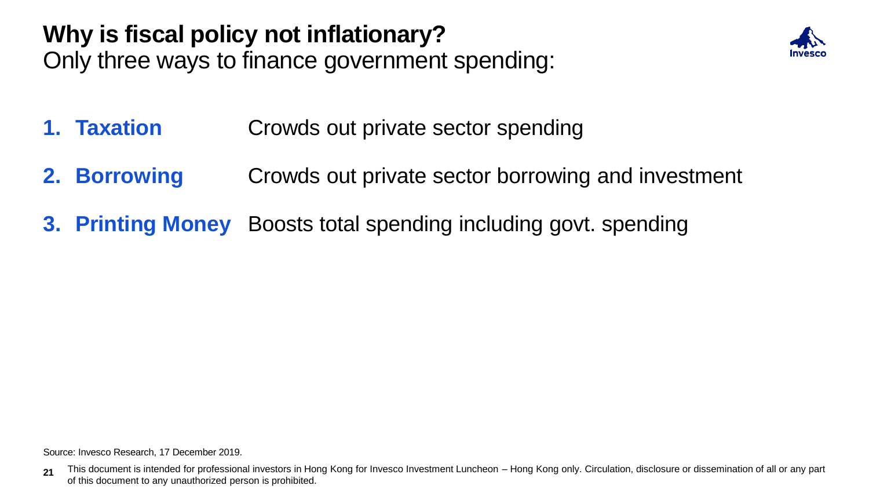# **Why is fiscal policy not inflationary?** Only three ways to finance government spending:



- **1. Taxation** Crowds out private sector spending
- **2. Borrowing Crowds out private sector borrowing and investment**
- **3. Printing Money** Boosts total spending including govt. spending

Source: Invesco Research, 17 December 2019.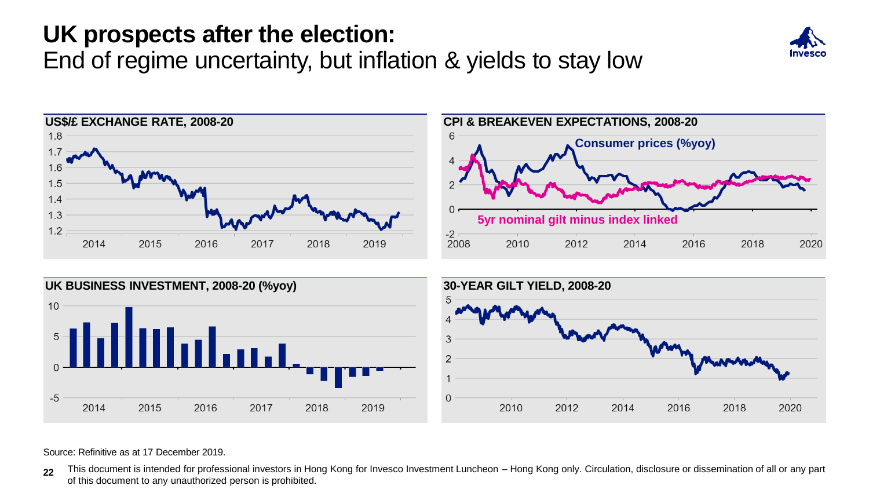# **UK prospects after the election:**

End of regime uncertainty, but inflation & yields to stay low







Source: Refinitive as at 17 December 2019.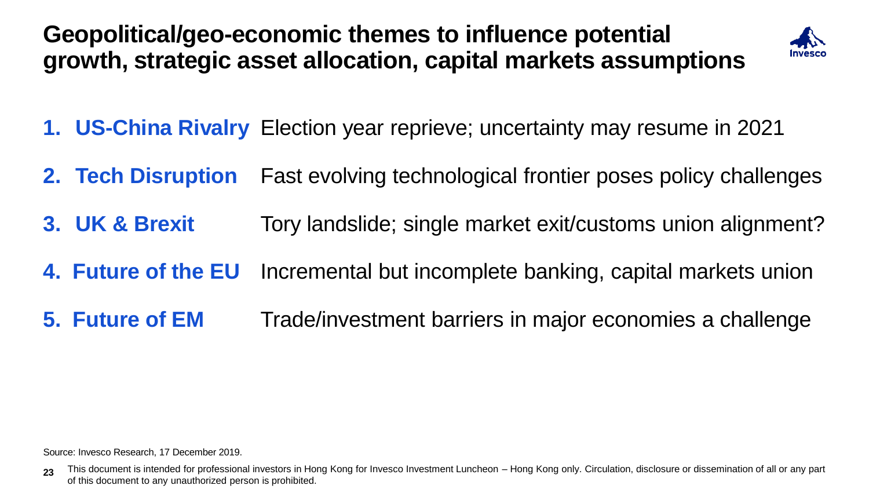**Geopolitical/geo-economic themes to influence potential growth, strategic asset allocation, capital markets assumptions** 



- **1. US-China Rivalry** Election year reprieve; uncertainty may resume in 2021
- **2. Tech Disruption** Fast evolving technological frontier poses policy challenges
- **3. UK & Brexit** Tory landslide; single market exit/customs union alignment?
- **4. Future of the EU** Incremental but incomplete banking, capital markets union
- **5. Future of EM** Trade/investment barriers in major economies a challenge

Source: Invesco Research, 17 December 2019.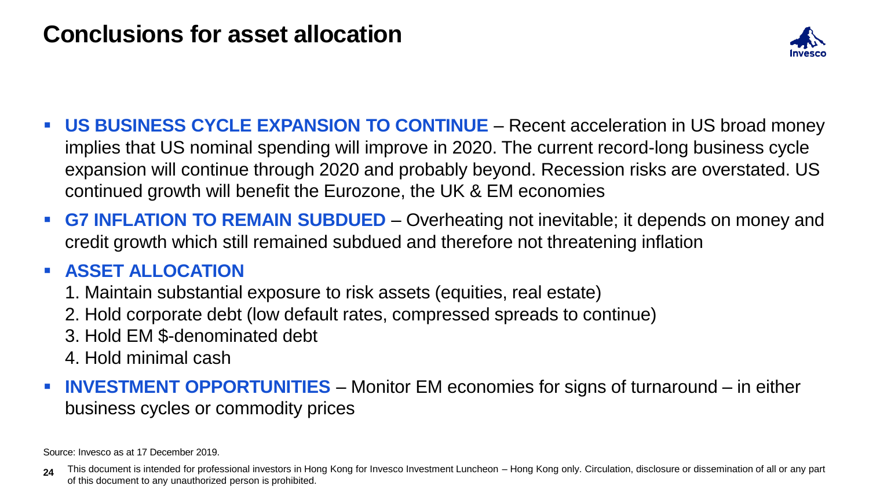## **Conclusions for asset allocation**



- **US BUSINESS CYCLE EXPANSION TO CONTINUE**  Recent acceleration in US broad money implies that US nominal spending will improve in 2020. The current record-long business cycle expansion will continue through 2020 and probably beyond. Recession risks are overstated. US continued growth will benefit the Eurozone, the UK & EM economies
- **G7 INFLATION TO REMAIN SUBDUED** Overheating not inevitable; it depends on money and credit growth which still remained subdued and therefore not threatening inflation

#### ▪ **ASSET ALLOCATION**

- 1. Maintain substantial exposure to risk assets (equities, real estate)
- 2. Hold corporate debt (low default rates, compressed spreads to continue)
- 3. Hold EM \$-denominated debt
- 4. Hold minimal cash
- **INVESTMENT OPPORTUNITIES** Monitor EM economies for signs of turnaround in either business cycles or commodity prices

Source: Invesco as at 17 December 2019.

<sup>24</sup> This document is intended for professional investors in Hong Kong for Invesco Investment Luncheon – Hong Kong only. Circulation, disclosure or dissemination of all or any part of this document to any unauthorized person is prohibited.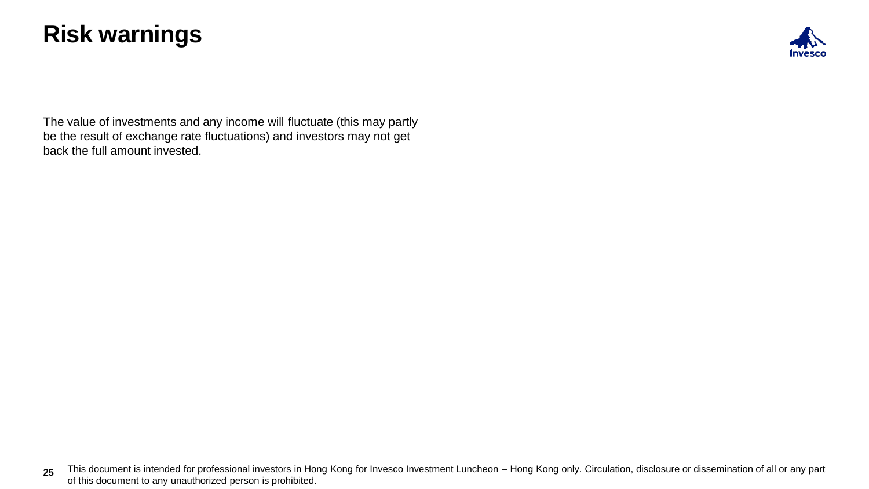### **Risk warnings**



The value of investments and any income will fluctuate (this may partly be the result of exchange rate fluctuations) and investors may not get back the full amount invested.